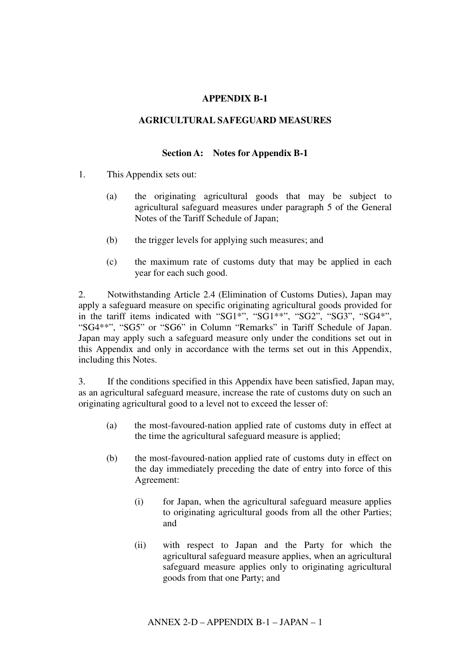# **APPENDIX B-1**

## **AGRICULTURAL SAFEGUARD MEASURES**

#### **Section A: Notes for Appendix B-1**

- 1. This Appendix sets out:
	- (a) the originating agricultural goods that may be subject to agricultural safeguard measures under paragraph 5 of the General Notes of the Tariff Schedule of Japan;
	- (b) the trigger levels for applying such measures; and
	- (c) the maximum rate of customs duty that may be applied in each year for each such good.

2. Notwithstanding Article 2.4 (Elimination of Customs Duties), Japan may apply a safeguard measure on specific originating agricultural goods provided for in the tariff items indicated with "SG1\*", "SG1\*\*", "SG2", "SG3", "SG4\*", "SG4\*\*", "SG5" or "SG6" in Column "Remarks" in Tariff Schedule of Japan. Japan may apply such a safeguard measure only under the conditions set out in this Appendix and only in accordance with the terms set out in this Appendix, including this Notes.

3. If the conditions specified in this Appendix have been satisfied, Japan may, as an agricultural safeguard measure, increase the rate of customs duty on such an originating agricultural good to a level not to exceed the lesser of:

- (a) the most-favoured-nation applied rate of customs duty in effect at the time the agricultural safeguard measure is applied;
- (b) the most-favoured-nation applied rate of customs duty in effect on the day immediately preceding the date of entry into force of this Agreement:
	- (i) for Japan, when the agricultural safeguard measure applies to originating agricultural goods from all the other Parties; and
	- (ii) with respect to Japan and the Party for which the agricultural safeguard measure applies, when an agricultural safeguard measure applies only to originating agricultural goods from that one Party; and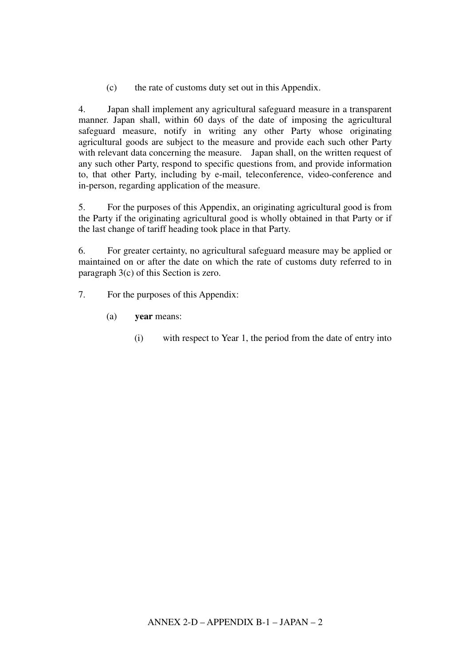(c) the rate of customs duty set out in this Appendix.

4. Japan shall implement any agricultural safeguard measure in a transparent manner. Japan shall, within 60 days of the date of imposing the agricultural safeguard measure, notify in writing any other Party whose originating agricultural goods are subject to the measure and provide each such other Party with relevant data concerning the measure. Japan shall, on the written request of any such other Party, respond to specific questions from, and provide information to, that other Party, including by e-mail, teleconference, video-conference and in-person, regarding application of the measure.

5. For the purposes of this Appendix, an originating agricultural good is from the Party if the originating agricultural good is wholly obtained in that Party or if the last change of tariff heading took place in that Party.

6. For greater certainty, no agricultural safeguard measure may be applied or maintained on or after the date on which the rate of customs duty referred to in paragraph 3(c) of this Section is zero.

- 7. For the purposes of this Appendix:
	- (a) **year** means:
		- (i) with respect to Year 1, the period from the date of entry into force of this Agreement for Japan thr15( )-40.1702744(.5(ii)-)27B68-3762053852053 (W2714(.5)(ii)-)27B684.3T612Q153852Q53 [(f)20.295585(e)35585(r)2.842o)-08.80439(i)-2.164337n,4.6895585(i)-2.16435585(o)-2.16558(4.68957346 0 Td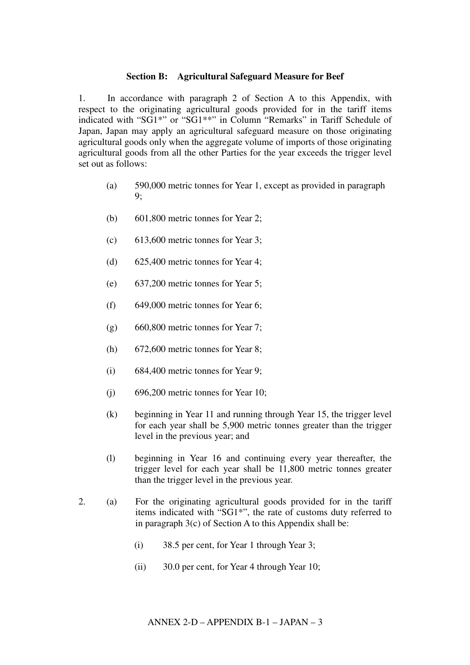#### **Section B: Agricultural Safeguard Measure for Beef**

1. In accordance with paragraph 2 of Section A to this Appendix, with respect to the originating agricultural goods provided for in the tariff items indicated with "SG1\*" or "SG1\*\*" in Column "Remarks" in Tariff Schedule of Japan, Japan may apply an agricultural safeguard measure on those originating agricultural goods only when the aggregate volume of imports of those originating agricultural goods from all the other Parties for the year exceeds the trigger level set out as follows:

- (a) 590,000 metric tonnes for Year 1, except as provided in paragraph 9;
- (b) 601,800 metric tonnes for Year 2;
- (c) 613,600 metric tonnes for Year 3;
- (d) 625,400 metric tonnes for Year 4;
- (e) 637,200 metric tonnes for Year 5;
- (f) 649,000 metric tonnes for Year 6;
- (g) 660,800 metric tonnes for Year 7;
- (h) 672,600 metric tonnes for Year 8;
- (i) 684,400 metric tonnes for Year 9;
- $(i)$  696,200 metric tonnes for Year 10;
- (k) beginning in Year 11 and running through Year 15, the trigger level for each year shall be 5,900 metric tonnes greater than the trigger level in the previous year; and
- (l) beginning in Year 16 and continuing every year thereafter, the trigger level for each year shall be 11,800 metric tonnes greater than the trigger level in the previous year.
- 2. (a) For the originating agricultural goods provided for in the tariff items indicated with "SG1\*", the rate of customs duty referred to in paragraph  $3(c)$  of Section A to this Appendix shall be:
	- (i) 38.5 per cent, for Year 1 through Year 3;
	- (ii) 30.0 per cent, for Year 4 through Year 10;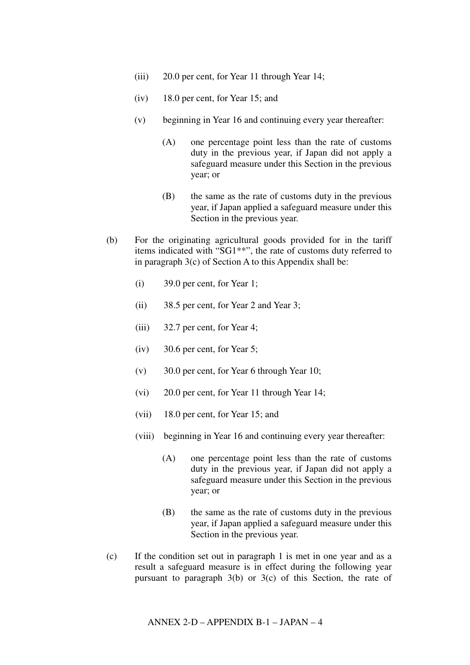- (iii) 20.0 per cent, for Year 11 through Year 14;
- (iv) 18.0 per cent, for Year 15; and
- (v) beginning in Year 16 and continuing every year thereafter:
	- (A) one percentage point less than the rate of customs duty in the previous year, if Japan did not apply a safeguard measure under this Section in the previous year; or
	- (B) the same as the rate of customs duty in the previous year, if Japan applied a safeguard measure under this Section in the previous year.
- (b) For the originating agricultural goods provided for in the tariff items indicated with "SG1\*\*", the rate of customs duty referred to in paragraph 3(c) of Section A to this Appendix shall be:
	- (i) 39.0 per cent, for Year 1;
	- (ii) 38.5 per cent, for Year 2 and Year 3;
	- (iii) 32.7 per cent, for Year 4;
	- (iv) 30.6 per cent, for Year 5;
	- (v) 30.0 per cent, for Year 6 through Year 10;
	- (vi) 20.0 per cent, for Year 11 through Year 14;
	- (vii) 18.0 per cent, for Year 15; and
	- (viii) beginning in Year 16 and continuing every year thereafter:
		- (A) one percentage point less than the rate of customs duty in the previous year, if Japan did not apply a safeguard measure under this Section in the previous year; or
		- (B) the same as the rate of customs duty in the previous year, if Japan applied a safeguard measure under this Section in the previous year.
- (c) If the condition set out in paragraph 1 is met in one year and as a result a safeguard measure is in effect during the following year pursuant to paragraph 3(b) or 3(c) of this Section, the rate of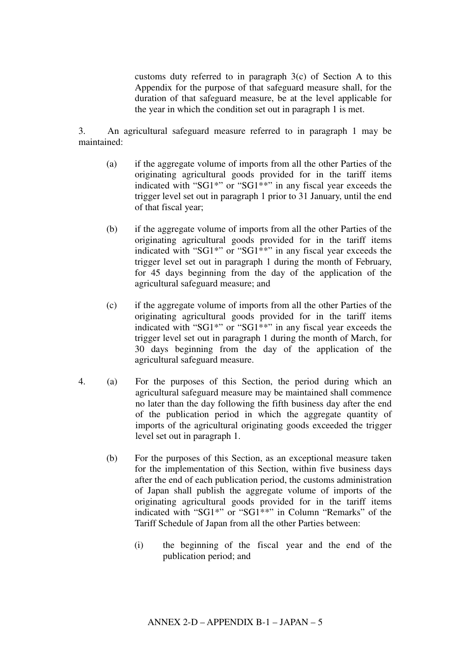customs duty referred to in paragraph 3(c) of Section A to this Appendix for the purpose of that safeguard measure shall, for the duration of that safeguard measure, be at the level applicable for the year in which the condition set out in paragraph 1 is met.

3. An agricultural safeguard measure referred to in paragraph 1 may be maintained:

- (a) if the aggregate volume of imports from all the other Parties of the originating agricultural goods provided for in the tariff items indicated with "SG1\*" or "SG1\*\*" in any fiscal year exceeds the trigger level set out in paragraph 1 prior to 31 January, until the end of that fiscal year;
- (b) if the aggregate volume of imports from all the other Parties of the originating agricultural goods provided for in the tariff items indicated with "SG1\*" or "SG1\*\*" in any fiscal year exceeds the trigger level set out in paragraph 1 during the month of February, for 45 days beginning from the day of the application of the agricultural safeguard measure; and
- (c) if the aggregate volume of imports from all the other Parties of the originating agricultural goods provided for in the tariff items indicated with "SG1\*" or "SG1\*\*" in any fiscal year exceeds the trigger level set out in paragraph 1 during the month of March, for 30 days beginning from the day of the application of the agricultural safeguard measure.
- 4. (a) For the purposes of this Section, the period during which an agricultural safeguard measure may be maintained shall commence no later than the day following the fifth business day after the end of the publication period in which the aggregate quantity of imports of the agricultural originating goods exceeded the trigger level set out in paragraph 1.
	- (b) For the purposes of this Section, as an exceptional measure taken for the implementation of this Section, within five business days after the end of each publication period, the customs administration of Japan shall publish the aggregate volume of imports of the originating agricultural goods provided for in the tariff items indicated with "SG1\*" or "SG1\*\*" in Column "Remarks" of the Tariff Schedule of Japan from all the other Parties between:
		- (i) the beginning of the fiscal year and the end of the publication period; and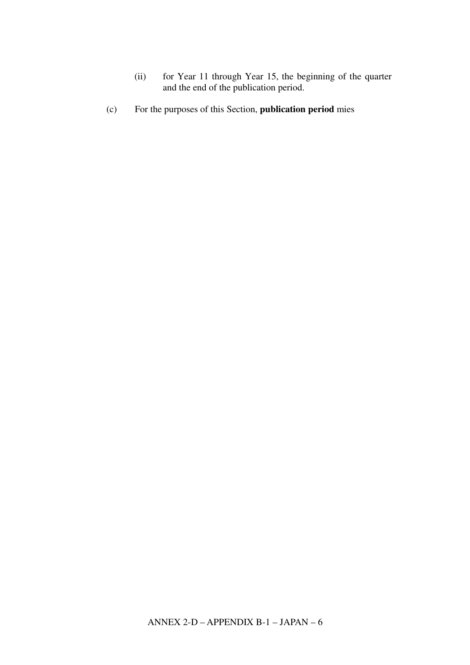- (ii) for Year 11 through Year 15, the beginning of the quarter and the end of the publication period.
- (c) For the purposes of this Section, **publication period**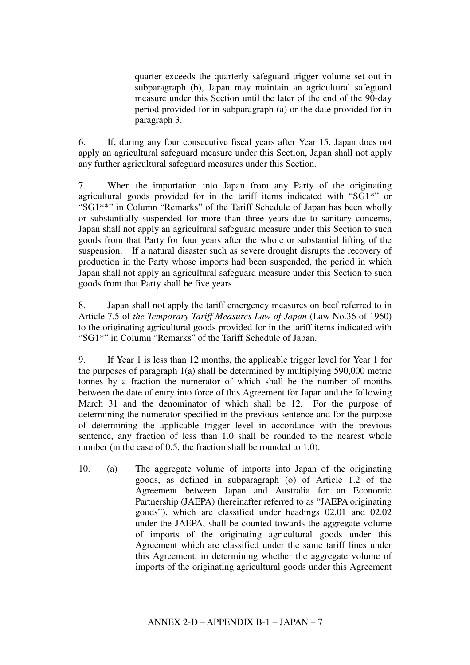quarter exceeds the quarterly safeguard trigger volume set out in subparagraph (b), Japan may maintain an agricultural safeguard measure under this Section until the later of the end of the 90-day period provided for in subparagraph (a) or the date provided for in paragraph 3.

6. If, during any four consecutive fiscal years after Year 15, Japan does not apply an agricultural safeguard measure under this Section, Japan shall not apply any further agricultural safeguard measures under this Section.

7. When the importation into Japan from any Party of the originating agricultural goods provided for in the tariff items indicated with "SG1\*" or "SG1\*\*" in Column "Remarks" of the Tariff Schedule of Japan has been wholly or substantially suspended for more than three years due to sanitary concerns, Japan shall not apply an agricultural safeguard measure under this Section to such goods from that Party for four years after the whole or substantial lifting of the suspension. If a natural disaster such as severe drought disrupts the recovery of production in the Party whose imports had been suspended, the period in which Japan shall not apply an agricultural safeguard measure under this Section to such goods from that Party shall be five years.

8. Japan shall not apply the tariff emergency measures on beef referred to in Article 7.5 of *the Temporary Tariff Measures Law of Japan* (Law No.36 of 1960) to the originating agricultural goods provided for in the tariff items indicated with "SG1\*" in Column "Remarks" of the Tariff Schedule of Japan.

9. If Year 1 is less than 12 months, the applicable trigger level for Year 1 for the purposes of paragraph 1(a) shall be determined by multiplying 590,000 metric tonnes by a fraction the numerator of which shall be the number of months between the date of entry into force of this Agreement for Japan and the following March 31 and the denominator of which shall be 12. For the purpose of determining the numerator specified in the previous sentence and for the purpose of determining the applicable trigger level in accordance with the previous sentence, any fraction of less than 1.0 shall be rounded to the nearest whole number (in the case of 0.5, the fraction shall be rounded to 1.0).

10. (a) The aggregate volume of imports into Japan of the originating goods, as defined in subparagraph (o) of Article 1.2 of the Agreement between Japan and Australia for an Economic Partnership (JAEPA) (hereinafter referred to as "JAEPA originating goods"), which are classified under headings 02.01 and 02.02 under the JAEPA, shall be counted towards the aggregate volume of imports of the originating agricultural goods under this Agreement which are classified under the same tariff lines under this Agreement, in determining whether the aggregate volume of imports of the originating agricultural goods under this Agreement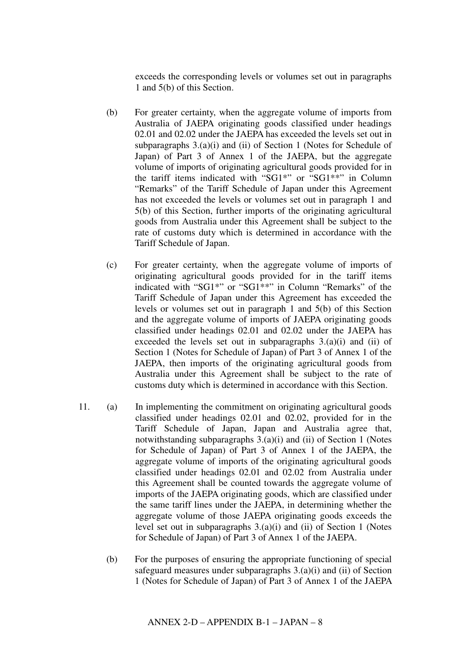exceeds the corresponding levels or volumes set out in paragraphs 1 and 5(b) of this Section.

- (b) For greater certainty, when the aggregate volume of imports from Australia of JAEPA originating goods classified under headings 02.01 and 02.02 under the JAEPA has exceeded the levels set out in subparagraphs 3.(a)(i) and (ii) of Section 1 (Notes for Schedule of Japan) of Part 3 of Annex 1 of the JAEPA, but the aggregate volume of imports of originating agricultural goods provided for in the tariff items indicated with "SG1\*" or "SG1\*\*" in Column "Remarks" of the Tariff Schedule of Japan under this Agreement has not exceeded the levels or volumes set out in paragraph 1 and 5(b) of this Section, further imports of the originating agricultural goods from Australia under this Agreement shall be subject to the rate of customs duty which is determined in accordance with the Tariff Schedule of Japan.
- (c) For greater certainty, when the aggregate volume of imports of originating agricultural goods provided for in the tariff items indicated with "SG1\*" or "SG1\*\*" in Column "Remarks" of the Tariff Schedule of Japan under this Agreement has exceeded the levels or volumes set out in paragraph 1 and 5(b) of this Section and the aggregate volume of imports of JAEPA originating goods classified under headings 02.01 and 02.02 under the JAEPA has exceeded the levels set out in subparagraphs  $3.(a)(i)$  and (ii) of Section 1 (Notes for Schedule of Japan) of Part 3 of Annex 1 of the JAEPA, then imports of the originating agricultural goods from Australia under this Agreement shall be subject to the rate of customs duty which is determined in accordance with this Section.
- 11. (a) In implementing the commitment on originating agricultural goods classified under headings 02.01 and 02.02, provided for in the Tariff Schedule of Japan, Japan and Australia agree that, notwithstanding subparagraphs 3.(a)(i) and (ii) of Section 1 (Notes for Schedule of Japan) of Part 3 of Annex 1 of the JAEPA, the aggregate volume of imports of the originating agricultural goods classified under headings 02.01 and 02.02 from Australia under this Agreement shall be counted towards the aggregate volume of imports of the JAEPA originating goods, which are classified under the same tariff lines under the JAEPA, in determining whether the aggregate volume of those JAEPA originating goods exceeds the level set out in subparagraphs 3.(a)(i) and (ii) of Section 1 (Notes for Schedule of Japan) of Part 3 of Annex 1 of the JAEPA.
	- (b) For the purposes of ensuring the appropriate functioning of special safeguard measures under subparagraphs 3.(a)(i) and (ii) of Section 1 (Notes for Schedule of Japan) of Part 3 of Annex 1 of the JAEPA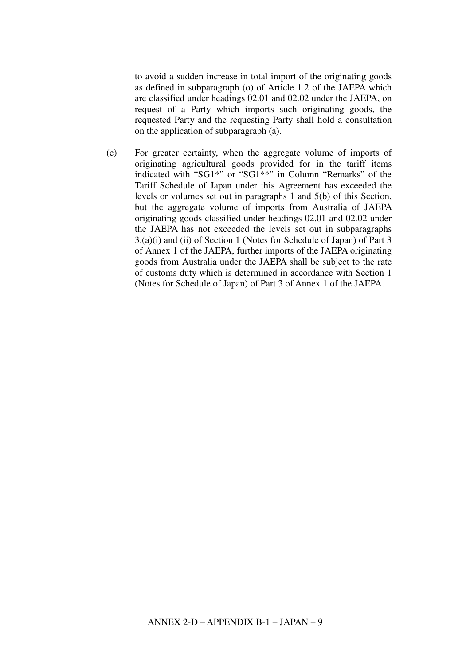to avoid a sudden increase in total import of the originating goods as defined in subparagraph (o) of Article 1.2 of the JAEPA which are classified under headings 02.01 and 02.02 under the JAEPA, on request of a Party which imports such originating goods, the requested Party and the requesting Party shall hold a consultation on the application of subparagraph (a).

(c) For greater certainty, when the aggregate volume of imports of originating agricultural goods provided for in the tariff items indicated with "SG1\*" or "SG1\*\*" in Column "Remarks" of the Tariff Schedule of Japan under this Agreement has exceeded the levels or volumes set out in paragraphs 1 and 5(b) of this Section, but the aggregate volume of imports from Australia of JAEPA originating goods classified under headings 02.01 and 02.02 under the JAEPA has not exceeded the levels set out in subparagraphs 3.(a)(i) and (ii) of Section 1 (Notes for Schedule of Japan) of Part 3 of Annex 1 of the JAEPA, further imports of the JAEPA originating goods from Australia under the JAEPA shall be subject to the rate of customs duty which is determined in accordance with Section 1 (Notes for Schedule of Japan) of Part 3 of Annex 1 of the JAEPA.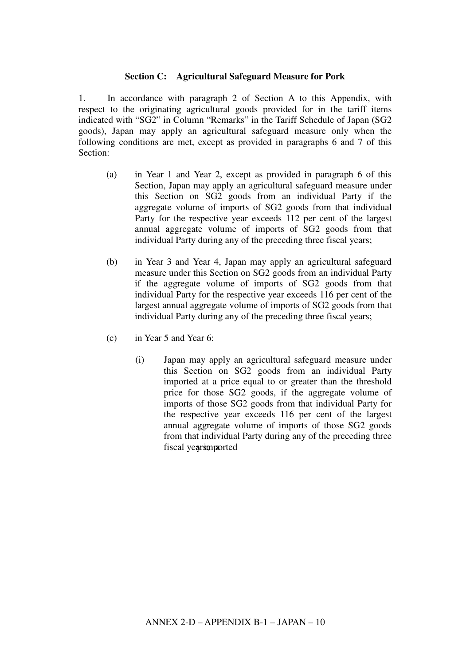## **Section C: Agricultural Safeguard Measure for Pork**

1. In accordance with paragraph 2 of Section A to this Appendix, with respect to the originating agricultural goods provided for in the tariff items indicated with "SG2" in Column "Remarks" in the Tariff Schedule of Japan (SG2 goods), Japan may apply an agricultural safeguard measure only when the following conditions are met, except as provided in paragraphs 6 and 7 of this Section:

- (a) in Year 1 and Year 2, except as provided in paragraph 6 of this Section, Japan may apply an agricultural safeguard measure under this Section on SG2 goods from an individual Party if the aggregate volume of imports of SG2 goods from that individual Party for the respective year exceeds 112 per cent of the largest annual aggregate volume of imports of SG2 goods from that individual Party during any of the preceding three fiscal years;
- (b) in Year 3 and Year 4, Japan may apply an agricultural safeguard measure under this Section on SG2 goods from an individual Party if the aggregate volume of imports of SG2 goods from that individual Party for the respective year exceeds 116 per cent of the largest annual aggregate volume of imports of SG2 goods from that individual Party during any of the preceding three fiscal years;
- (c) in Year 5 and Year 6:
	- (i) Japan may apply an agricultural safeguard measure under this Section on SG2 goods from an individual Party imported at a price equal to or greater than the threshold price for those SG2 goods, if the aggregate volume of imports of those SG2 goods from that individual Party for the respective year exceeds 116 per cent of the largest annual aggregate volume of imports of those SG2 goods from that individual Party during any of the preceding three fiscal yearsimportedJap59(a)3.74(p)-0.295585(a)3.74(n)-04.64864(a)3.74(r)2.805

 $-2.$  ser o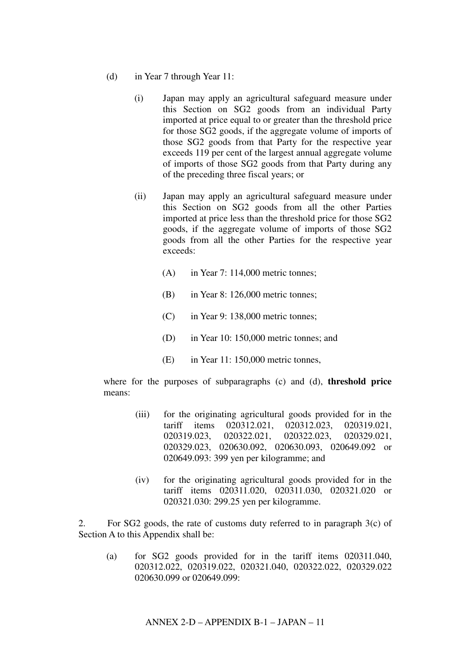- (d) in Year 7 through Year 11:
	- (i) Japan may apply an agricultural safeguard measure under this Section on SG2 goods from an individual Party imported at price equal to or greater than the threshold price for those SG2 goods, if the aggregate volume of imports of those SG2 goods from that Party for the respective year exceeds 119 per cent of the largest annual aggregate volume of imports of those SG2 goods from that Party during any of the preceding three fiscal years; or
	- (ii) Japan may apply an agricultural safeguard measure under this Section on SG2 goods from all the other Parties imported at price less than the threshold price for those SG2 goods, if the aggregate volume of imports of those SG2 goods from all the other Parties for the respective year exceeds:
		- (A) in Year 7: 114,000 metric tonnes;
		- (B) in Year 8: 126,000 metric tonnes;
		- (C) in Year 9: 138,000 metric tonnes;
		- (D) in Year 10: 150,000 metric tonnes; and
		- (E) in Year 11: 150,000 metric tonnes,

where for the purposes of subparagraphs (c) and (d), **threshold price** means:

- (iii) for the originating agricultural goods provided for in the tariff items 020312.021, 020312.023, 020319.021, 020319.023, 020322.021, 020322.023, 020329.021, 020329.023, 020630.092, 020630.093, 020649.092 or 020649.093: 399 yen per kilogramme; and
- (iv) for the originating agricultural goods provided for in the tariff items 020311.020, 020311.030, 020321.020 or 020321.030: 299.25 yen per kilogramme.

2. For  $SG2$  goods, the rate of customs duty referred to in paragraph  $3(c)$  of Section A to this Appendix shall be:

(a) for SG2 goods provided for in the tariff items 020311.040, 020312.022, 020319.022, 020321.040, 020322.022, 020329.022 020630.099 or 020649.099: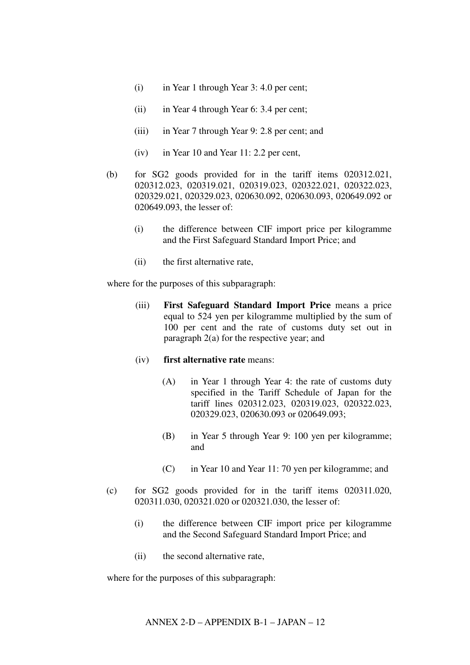- (i) in Year 1 through Year 3: 4.0 per cent;
- (ii) in Year 4 through Year 6: 3.4 per cent;
- (iii) in Year 7 through Year 9: 2.8 per cent; and
- (iv) in Year 10 and Year 11: 2.2 per cent,
- (b) for SG2 goods provided for in the tariff items 020312.021, 020312.023, 020319.021, 020319.023, 020322.021, 020322.023, 020329.021, 020329.023, 020630.092, 020630.093, 020649.092 or 020649.093, the lesser of:
	- (i) the difference between CIF import price per kilogramme and the First Safeguard Standard Import Price; and
	- (ii) the first alternative rate,

where for the purposes of this subparagraph:

- (iii) **First Safeguard Standard Import Price** means a price equal to 524 yen per kilogramme multiplied by the sum of 100 per cent and the rate of customs duty set out in paragraph 2(a) for the respective year; and
- (iv) **first alternative rate** means:
	- (A) in Year 1 through Year 4: the rate of customs duty specified in the Tariff Schedule of Japan for the tariff lines 020312.023, 020319.023, 020322.023, 020329.023, 020630.093 or 020649.093;
	- (B) in Year 5 through Year 9: 100 yen per kilogramme; and
	- (C) in Year 10 and Year 11: 70 yen per kilogramme; and
- (c) for SG2 goods provided for in the tariff items 020311.020, 020311.030, 020321.020 or 020321.030, the lesser of:
	- (i) the difference between CIF import price per kilogramme and the Second Safeguard Standard Import Price; and
	- (ii) the second alternative rate,

where for the purposes of this subparagraph: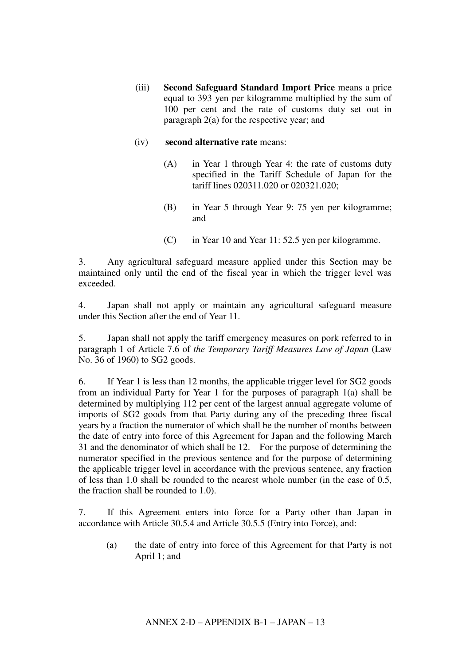(iii) **Second Safeguard Standard Import Price** means a price equal to 393 yen per kilogramme multiplied by the sum of 100 per cent and the rate of customs duty set out in paragraph 2(a) for the respective year; and

#### (iv) **second alternative rate** means:

- (A) in Year 1 through Year 4: the rate of customs duty specified in the Tariff Schedule of Japan for the tariff lines 020311.020 or 020321.020;
- (B) in Year 5 through Year 9: 75 yen per kilogramme; and
- (C) in Year 10 and Year 11: 52.5 yen per kilogramme.

3. Any agricultural safeguard measure applied under this Section may be maintained only until the end of the fiscal year in which the trigger level was exceeded.

4. Japan shall not apply or maintain any agricultural safeguard measure under this Section after the end of Year 11.

5. Japan shall not apply the tariff emergency measures on pork referred to in paragraph 1 of Article 7.6 of *the Temporary Tariff Measures Law of Japan* (Law No. 36 of 1960) to SG2 goods.

6. If Year 1 is less than 12 months, the applicable trigger level for SG2 goods from an individual Party for Year 1 for the purposes of paragraph 1(a) shall be determined by multiplying 112 per cent of the largest annual aggregate volume of imports of SG2 goods from that Party during any of the preceding three fiscal years by a fraction the numerator of which shall be the number of months between the date of entry into force of this Agreement for Japan and the following March 31 and the denominator of which shall be 12. For the purpose of determining the numerator specified in the previous sentence and for the purpose of determining the applicable trigger level in accordance with the previous sentence, any fraction of less than 1.0 shall be rounded to the nearest whole number (in the case of 0.5, the fraction shall be rounded to 1.0).

7. If this Agreement enters into force for a Party other than Japan in accordance with Article 30.5.4 and Article 30.5.5 (Entry into Force), and:

(a) the date of entry into force of this Agreement for that Party is not April 1; and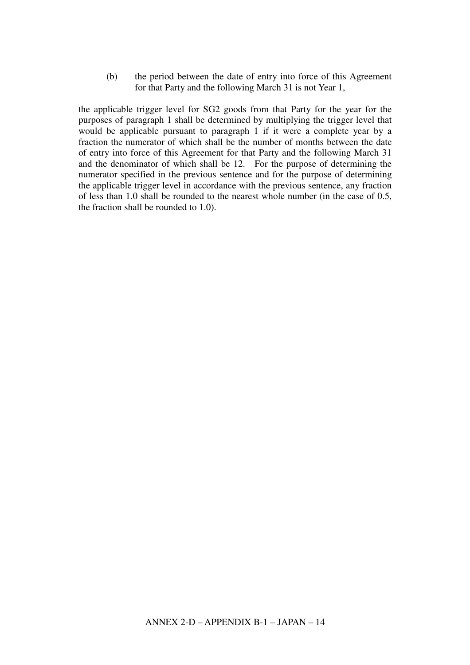(b) the period between the date of entry into force of this Agreement for that Party and the following March 31 is not Year 1,

the applicable trigger level for SG2 goods from that Party for the year for the purposes of paragraph 1 shall be determined by multiplying the trigger level that would be applicable pursuant to paragraph 1 if it were a complete year by a fraction the numerator of which shall be the number of months between the date of entry into force of this Agreement for that Party and the following March 31 and the denominator of which shall be 12. For the purpose of determining the numerator specified in the previous sentence and for the purpose of determining the applicable trigger level in accordance with the previous sentence, any fraction of less than 1.0 shall be rounded to the nearest whole number (in the case of 0.5, the fraction shall be rounded to 1.0).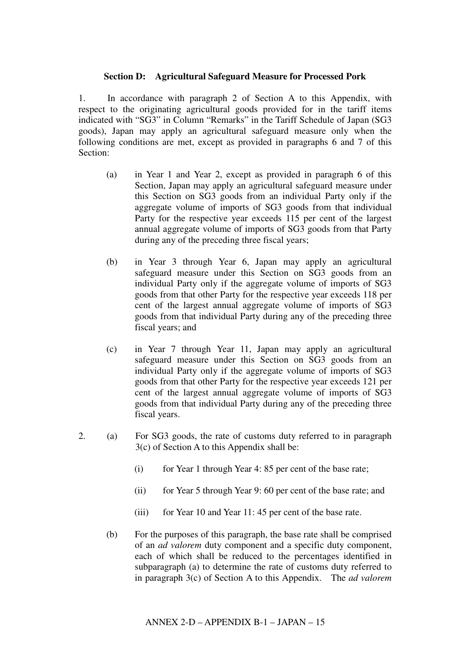#### **Section D: Agricultural Safeguard Measure for Processed Pork**

1. In accordance with paragraph 2 of Section A to this Appendix, with respect to the originating agricultural goods provided for in the tariff items indicated with "SG3" in Column "Remarks" in the Tariff Schedule of Japan (SG3 goods), Japan may apply an agricultural safeguard measure only when the following conditions are met, except as provided in paragraphs 6 and 7 of this Section:

- (a) in Year 1 and Year 2, except as provided in paragraph 6 of this Section, Japan may apply an agricultural safeguard measure under this Section on SG3 goods from an individual Party only if the aggregate volume of imports of SG3 goods from that individual Party for the respective year exceeds 115 per cent of the largest annual aggregate volume of imports of SG3 goods from that Party during any of the preceding three fiscal years;
- (b) in Year 3 through Year 6, Japan may apply an agricultural safeguard measure under this Section on SG3 goods from an individual Party only if the aggregate volume of imports of SG3 goods from that other Party for the respective year exceeds 118 per cent of the largest annual aggregate volume of imports of SG3 goods from that individual Party during any of the preceding three fiscal years; and
- (c) in Year 7 through Year 11, Japan may apply an agricultural safeguard measure under this Section on SG3 goods from an individual Party only if the aggregate volume of imports of SG3 goods from that other Party for the respective year exceeds 121 per cent of the largest annual aggregate volume of imports of SG3 goods from that individual Party during any of the preceding three fiscal years.
- 2. (a) For SG3 goods, the rate of customs duty referred to in paragraph 3(c) of Section A to this Appendix shall be:
	- (i) for Year 1 through Year 4:  $85$  per cent of the base rate;
	- (ii) for Year 5 through Year 9: 60 per cent of the base rate; and
	- (iii) for Year 10 and Year 11: 45 per cent of the base rate.
	- (b) For the purposes of this paragraph, the base rate shall be comprised of an *ad valorem* duty component and a specific duty component, each of which shall be reduced to the percentages identified in subparagraph (a) to determine the rate of customs duty referred to in paragraph 3(c) of Section A to this Appendix. The *ad valorem*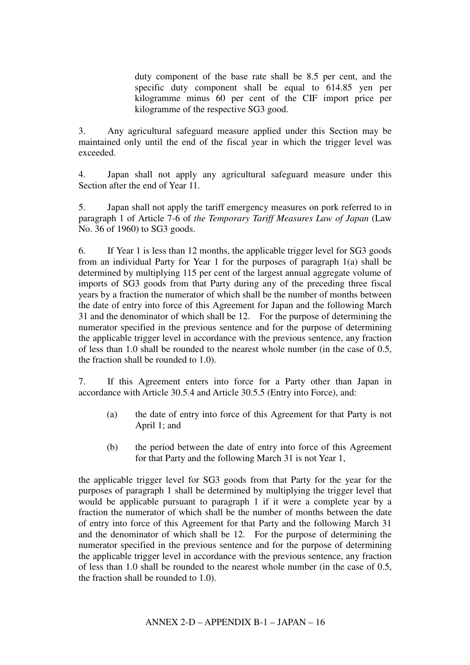duty component of the base rate shall be 8.5 per cent, and the specific duty component shall be equal to 614.85 yen per kilogramme minus 60 per cent of the CIF import price per kilogramme of the respective SG3 good.

3. Any agricultural safeguard measure applied under this Section may be maintained only until the end of the fiscal year in which the trigger level was exceeded.

4. Japan shall not apply any agricultural safeguard measure under this Section after the end of Year 11.

5. Japan shall not apply the tariff emergency measures on pork referred to in paragraph 1 of Article 7-6 of *the Temporary Tariff Measures Law of Japan* (Law No. 36 of 1960) to SG3 goods.

6. If Year 1 is less than 12 months, the applicable trigger level for SG3 goods from an individual Party for Year 1 for the purposes of paragraph 1(a) shall be determined by multiplying 115 per cent of the largest annual aggregate volume of imports of SG3 goods from that Party during any of the preceding three fiscal years by a fraction the numerator of which shall be the number of months between the date of entry into force of this Agreement for Japan and the following March 31 and the denominator of which shall be 12. For the purpose of determining the numerator specified in the previous sentence and for the purpose of determining the applicable trigger level in accordance with the previous sentence, any fraction of less than 1.0 shall be rounded to the nearest whole number (in the case of 0.5, the fraction shall be rounded to 1.0).

7. If this Agreement enters into force for a Party other than Japan in accordance with Article 30.5.4 and Article 30.5.5 (Entry into Force), and:

- (a) the date of entry into force of this Agreement for that Party is not April 1; and
- (b) the period between the date of entry into force of this Agreement for that Party and the following March 31 is not Year 1,

the applicable trigger level for SG3 goods from that Party for the year for the purposes of paragraph 1 shall be determined by multiplying the trigger level that would be applicable pursuant to paragraph 1 if it were a complete year by a fraction the numerator of which shall be the number of months between the date of entry into force of this Agreement for that Party and the following March 31 and the denominator of which shall be 12. For the purpose of determining the numerator specified in the previous sentence and for the purpose of determining the applicable trigger level in accordance with the previous sentence, any fraction of less than 1.0 shall be rounded to the nearest whole number (in the case of 0.5, the fraction shall be rounded to 1.0).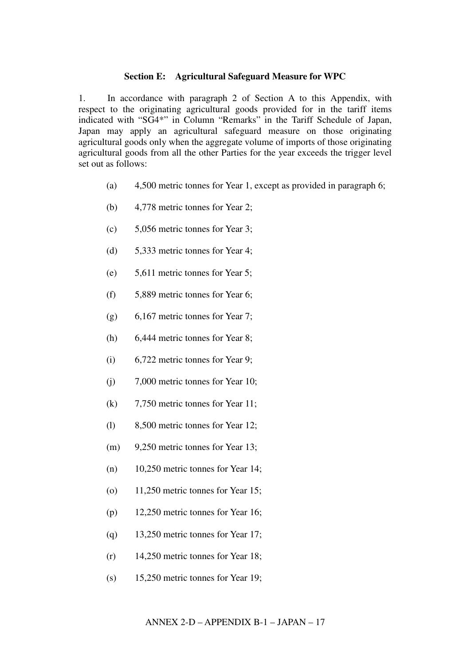#### **Section E: Agricultural Safeguard Measure for WPC**

1. In accordance with paragraph 2 of Section A to this Appendix, with respect to the originating agricultural goods provided for in the tariff items indicated with "SG4\*" in Column "Remarks" in the Tariff Schedule of Japan, Japan may apply an agricultural safeguard measure on those originating agricultural goods only when the aggregate volume of imports of those originating agricultural goods from all the other Parties for the year exceeds the trigger level set out as follows:

- (a) 4,500 metric tonnes for Year 1, except as provided in paragraph 6;
- (b) 4,778 metric tonnes for Year 2;
- (c) 5,056 metric tonnes for Year 3;
- (d) 5,333 metric tonnes for Year 4;
- (e) 5,611 metric tonnes for Year 5;
- (f) 5,889 metric tonnes for Year 6;
- (g) 6,167 metric tonnes for Year 7;
- (h) 6,444 metric tonnes for Year 8;
- (i) 6,722 metric tonnes for Year 9;
- (j) 7,000 metric tonnes for Year 10;
- (k) 7,750 metric tonnes for Year 11;
- (l) 8,500 metric tonnes for Year 12;
- (m) 9,250 metric tonnes for Year 13;
- (n) 10,250 metric tonnes for Year 14;
- (o) 11,250 metric tonnes for Year 15;
- (p) 12,250 metric tonnes for Year 16;
- (q) 13,250 metric tonnes for Year 17;
- (r) 14,250 metric tonnes for Year 18;
- (s) 15,250 metric tonnes for Year 19;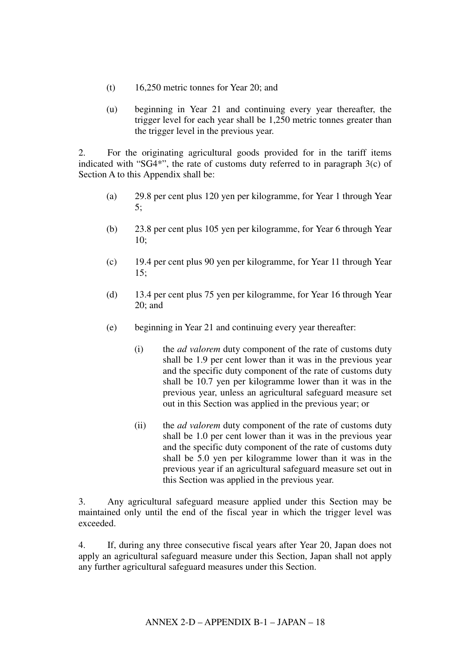- (t) 16,250 metric tonnes for Year 20; and
- (u) beginning in Year 21 and continuing every year thereafter, the trigger level for each year shall be 1,250 metric tonnes greater than the trigger level in the previous year.

2. For the originating agricultural goods provided for in the tariff items indicated with "SG4\*", the rate of customs duty referred to in paragraph 3(c) of Section A to this Appendix shall be:

- (a) 29.8 per cent plus 120 yen per kilogramme, for Year 1 through Year 5;
- (b) 23.8 per cent plus 105 yen per kilogramme, for Year 6 through Year 10;
- (c) 19.4 per cent plus 90 yen per kilogramme, for Year 11 through Year 15;
- (d) 13.4 per cent plus 75 yen per kilogramme, for Year 16 through Year 20; and
- (e) beginning in Year 21 and continuing every year thereafter:
	- (i) the *ad valorem* duty component of the rate of customs duty shall be 1.9 per cent lower than it was in the previous year and the specific duty component of the rate of customs duty shall be 10.7 yen per kilogramme lower than it was in the previous year, unless an agricultural safeguard measure set out in this Section was applied in the previous year; or
	- (ii) the *ad valorem* duty component of the rate of customs duty shall be 1.0 per cent lower than it was in the previous year and the specific duty component of the rate of customs duty shall be 5.0 yen per kilogramme lower than it was in the previous year if an agricultural safeguard measure set out in this Section was applied in the previous year.

3. Any agricultural safeguard measure applied under this Section may be maintained only until the end of the fiscal year in which the trigger level was exceeded.

4. If, during any three consecutive fiscal years after Year 20, Japan does not apply an agricultural safeguard measure under this Section, Japan shall not apply any further agricultural safeguard measures under this Section.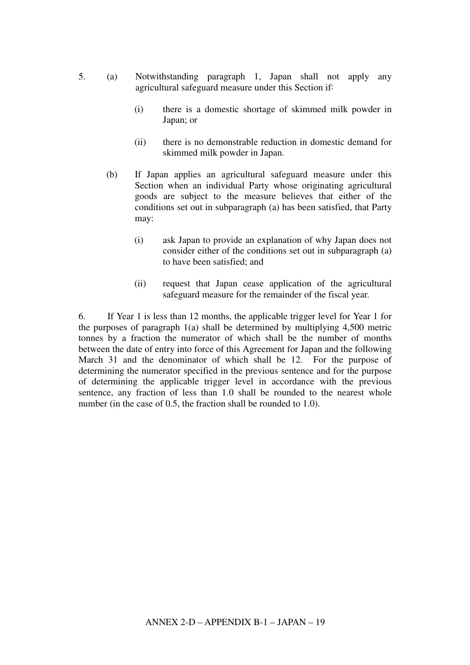- 5. (a) Notwithstanding paragraph 1, Japan shall not apply any agricultural safeguard measure under this Section if:
	- (i) there is a domestic shortage of skimmed milk powder in Japan; or
	- (ii) there is no demonstrable reduction in domestic demand for skimmed milk powder in Japan.
	- (b) If Japan applies an agricultural safeguard measure under this Section when an individual Party whose originating agricultural goods are subject to the measure believes that either of the conditions set out in subparagraph (a) has been satisfied, that Party may:
		- (i) ask Japan to provide an explanation of why Japan does not consider either of the conditions set out in subparagraph (a) to have been satisfied; and
		- (ii) request that Japan cease application of the agricultural safeguard measure for the remainder of the fiscal year.

6. If Year 1 is less than 12 months, the applicable trigger level for Year 1 for the purposes of paragraph 1(a) shall be determined by multiplying 4,500 metric tonnes by a fraction the numerator of which shall be the number of months between the date of entry into force of this Agreement for Japan and the following March 31 and the denominator of which shall be 12. For the purpose of determining the numerator specified in the previous sentence and for the purpose of determining the applicable trigger level in accordance with the previous sentence, any fraction of less than 1.0 shall be rounded to the nearest whole number (in the case of 0.5, the fraction shall be rounded to 1.0).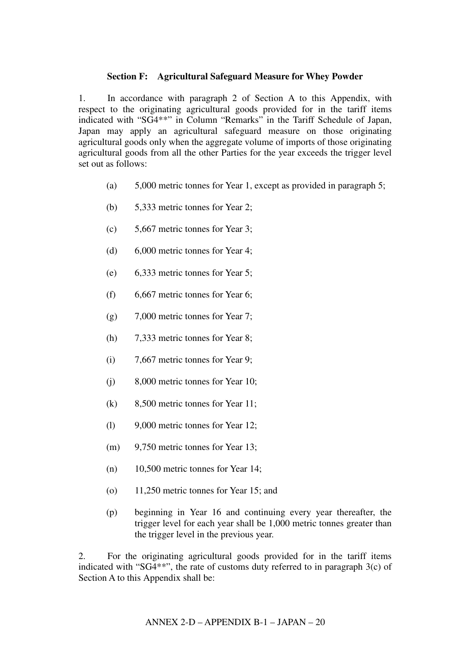### **Section F: Agricultural Safeguard Measure for Whey Powder**

1. In accordance with paragraph 2 of Section A to this Appendix, with respect to the originating agricultural goods provided for in the tariff items indicated with "SG4\*\*" in Column "Remarks" in the Tariff Schedule of Japan, Japan may apply an agricultural safeguard measure on those originating agricultural goods only when the aggregate volume of imports of those originating agricultural goods from all the other Parties for the year exceeds the trigger level set out as follows:

- (a) 5,000 metric tonnes for Year 1, except as provided in paragraph 5;
- (b) 5,333 metric tonnes for Year 2;
- (c) 5,667 metric tonnes for Year 3;
- (d) 6,000 metric tonnes for Year 4;
- (e) 6,333 metric tonnes for Year 5;
- (f) 6,667 metric tonnes for Year 6;
- (g) 7,000 metric tonnes for Year 7;
- (h) 7,333 metric tonnes for Year 8;
- (i) 7,667 metric tonnes for Year 9;
- (j) 8,000 metric tonnes for Year 10;
- (k) 8,500 metric tonnes for Year 11;
- (l) 9,000 metric tonnes for Year 12;
- (m) 9,750 metric tonnes for Year 13;
- (n) 10,500 metric tonnes for Year 14;
- (o) 11,250 metric tonnes for Year 15; and
- (p) beginning in Year 16 and continuing every year thereafter, the trigger level for each year shall be 1,000 metric tonnes greater than the trigger level in the previous year.

2. For the originating agricultural goods provided for in the tariff items indicated with "SG4\*\*", the rate of customs duty referred to in paragraph 3(c) of Section A to this Appendix shall be: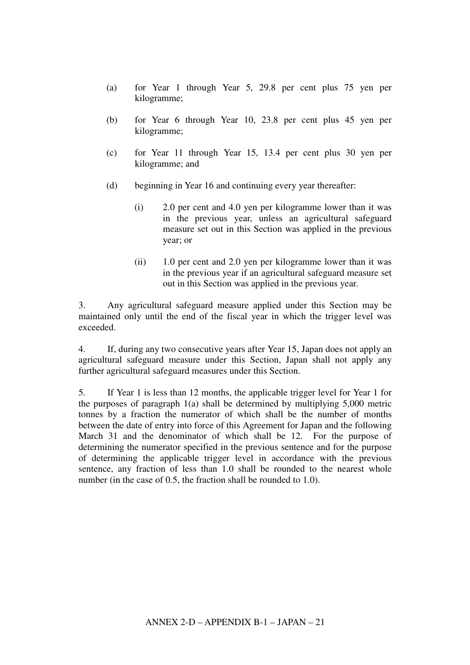- (a) for Year 1 through Year 5, 29.8 per cent plus 75 yen per kilogramme;
- (b) for Year 6 through Year 10, 23.8 per cent plus 45 yen per kilogramme;
- (c) for Year 11 through Year 15, 13.4 per cent plus 30 yen per kilogramme; and
- (d) beginning in Year 16 and continuing every year thereafter:
	- (i) 2.0 per cent and 4.0 yen per kilogramme lower than it was in the previous year, unless an agricultural safeguard measure set out in this Section was applied in the previous year; or
	- (ii) 1.0 per cent and 2.0 yen per kilogramme lower than it was in the previous year if an agricultural safeguard measure set out in this Section was applied in the previous year.

3. Any agricultural safeguard measure applied under this Section may be maintained only until the end of the fiscal year in which the trigger level was exceeded.

4. If, during any two consecutive years after Year 15, Japan does not apply an agricultural safeguard measure under this Section, Japan shall not apply any further agricultural safeguard measures under this Section.

5. If Year 1 is less than 12 months, the applicable trigger level for Year 1 for the purposes of paragraph 1(a) shall be determined by multiplying 5,000 metric tonnes by a fraction the numerator of which shall be the number of months between the date of entry into force of this Agreement for Japan and the following March 31 and the denominator of which shall be 12. For the purpose of determining the numerator specified in the previous sentence and for the purpose of determining the applicable trigger level in accordance with the previous sentence, any fraction of less than 1.0 shall be rounded to the nearest whole number (in the case of 0.5, the fraction shall be rounded to 1.0).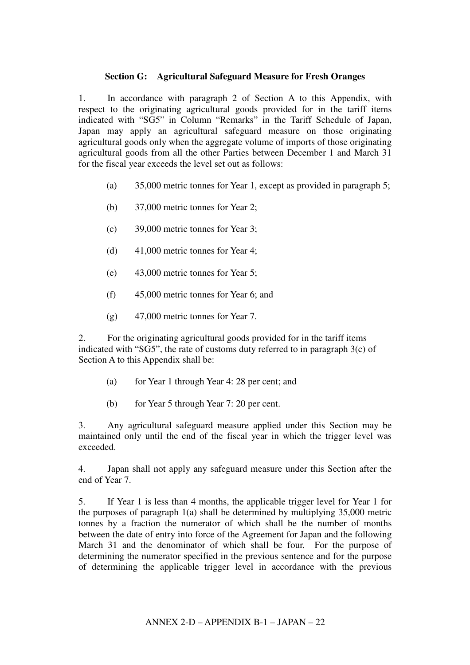## **Section G: Agricultural Safeguard Measure for Fresh Oranges**

1. In accordance with paragraph 2 of Section A to this Appendix, with respect to the originating agricultural goods provided for in the tariff items indicated with "SG5" in Column "Remarks" in the Tariff Schedule of Japan, Japan may apply an agricultural safeguard measure on those originating agricultural goods only when the aggregate volume of imports of those originating agricultural goods from all the other Parties between December 1 and March 31 for the fiscal year exceeds the level set out as follows:

- (a) 35,000 metric tonnes for Year 1, except as provided in paragraph 5;
- (b) 37,000 metric tonnes for Year 2;
- (c) 39,000 metric tonnes for Year 3;
- (d) 41,000 metric tonnes for Year 4;
- (e) 43,000 metric tonnes for Year 5;
- (f) 45,000 metric tonnes for Year 6; and
- (g) 47,000 metric tonnes for Year 7.

2. For the originating agricultural goods provided for in the tariff items indicated with "SG5", the rate of customs duty referred to in paragraph 3(c) of Section A to this Appendix shall be:

- (a) for Year 1 through Year 4: 28 per cent; and
- (b) for Year 5 through Year 7: 20 per cent.

3. Any agricultural safeguard measure applied under this Section may be maintained only until the end of the fiscal year in which the trigger level was exceeded.

4. Japan shall not apply any safeguard measure under this Section after the end of Year 7.

5. If Year 1 is less than 4 months, the applicable trigger level for Year 1 for the purposes of paragraph 1(a) shall be determined by multiplying 35,000 metric tonnes by a fraction the numerator of which shall be the number of months between the date of entry into force of the Agreement for Japan and the following March 31 and the denominator of which shall be four. For the purpose of determining the numerator specified in the previous sentence and for the purpose of determining the applicable trigger level in accordance with the previous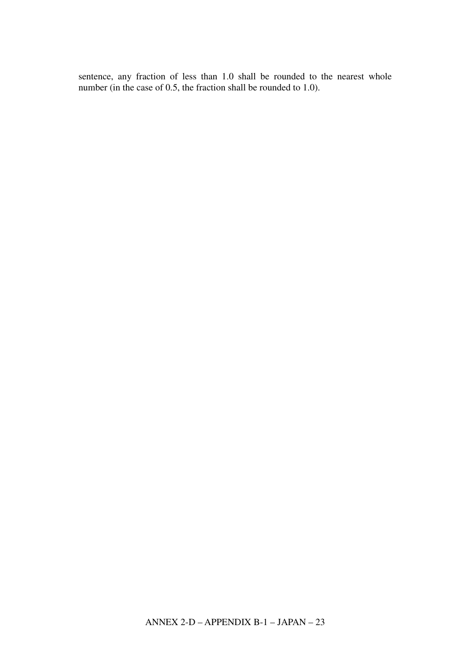sentence, any fraction of less than 1.0 shall be rounded to the nearest whole number (in the case of 0.5, the fraction shall be rounded to 1.0).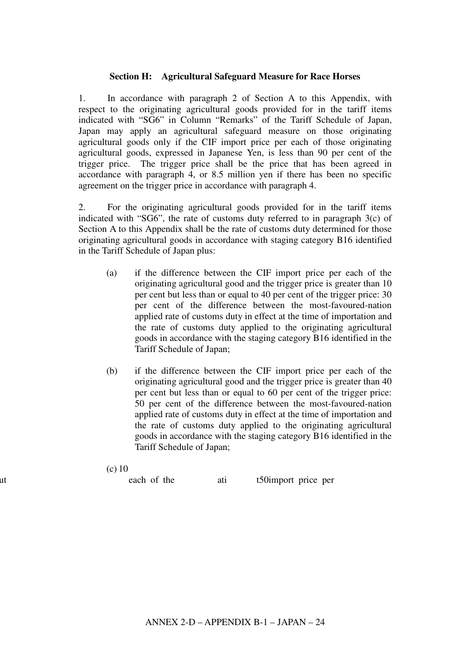### **Section H: Agricultural Safeguard Measure for Race Horses**

1. In accordance with paragraph 2 of Section A to this Appendix, with respect to the originating agricultural goods provided for in the tariff items indicated with "SG6" in Column "Remarks" of the Tariff Schedule of Japan, Japan may apply an agricultural safeguard measure on those originating agricultural goods only if the CIF import price per each of those originating agricultural goods, expressed in Japanese Yen, is less than 90 per cent of the trigger price. The trigger price shall be the price that has been agreed in accordance with paragraph 4, or 8.5 million yen if there has been no specific agreement on the trigger price in accordance with paragraph 4.

2. For the originating agricultural goods provided for in the tariff items indicated with "SG6", the rate of customs duty referred to in paragraph 3(c) of Section A to this Appendix shall be the rate of customs duty determined for those originating agricultural goods in accordance with staging category B16 identified in the Tariff Schedule of Japan plus:

- (a) if the difference between the CIF import price per each of the originating agricultural good and the trigger price is greater than 10 per cent but less than or equal to 40 per cent of the trigger price: 30 per cent of the difference between the most-favoured-nation applied rate of customs duty in effect at the time of importation and the rate of customs duty applied to the originating agricultural goods in accordance with the staging category B16 identified in the Tariff Schedule of Japan;
- (b) if the difference between the CIF import price per each of the originating agricultural good and the trigger price is greater than 40 per cent but less than or equal to 60 per cent of the trigger price: 50 per cent of the difference between the most-favoured-nation applied rate of customs duty in effect at the time of importation and the rate of customs duty applied to the originating agricultural goods in accordance with the staging category B16 identified in the Tariff Schedule of Japan;
- (c) 10

per cent but less that is each of the the ati t50import price per